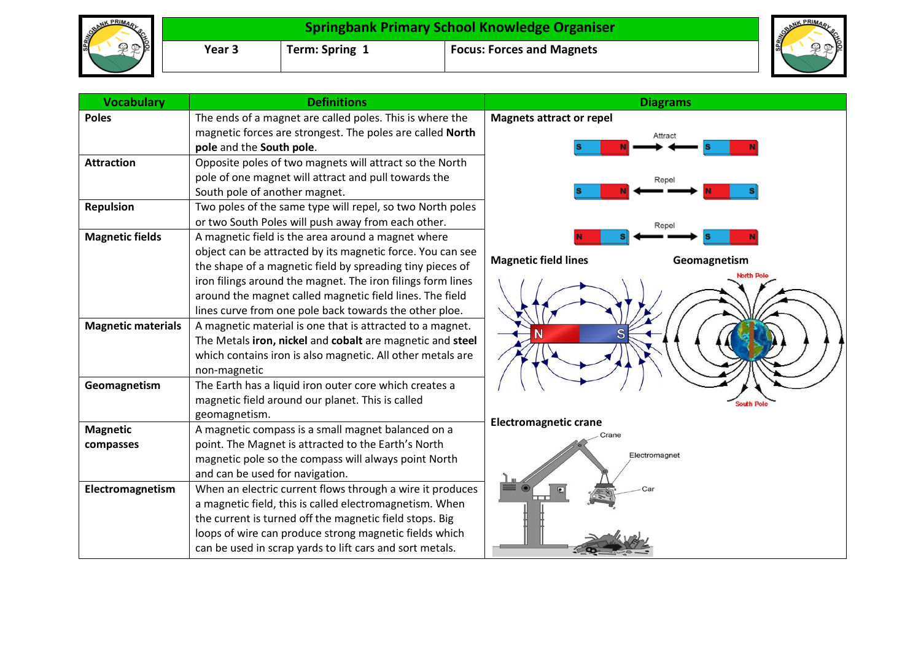| NK PRIMA<br><b>SPRING®R</b><br>医.<br>۰Io۱ | Springbank Primary School Knowledge Organiser |                |                                  | <b>SPAINS</b> |
|-------------------------------------------|-----------------------------------------------|----------------|----------------------------------|---------------|
|                                           | Year 3                                        | Term: Spring 1 | <b>Focus: Forces and Magnets</b> | Ιŏ            |

| <b>Vocabulary</b>         | <b>Definitions</b>                                          | <b>Diagrams</b>                             |
|---------------------------|-------------------------------------------------------------|---------------------------------------------|
| <b>Poles</b>              | The ends of a magnet are called poles. This is where the    | <b>Magnets attract or repel</b>             |
|                           | magnetic forces are strongest. The poles are called North   | Attract                                     |
|                           | pole and the South pole.                                    |                                             |
| <b>Attraction</b>         | Opposite poles of two magnets will attract so the North     |                                             |
|                           | pole of one magnet will attract and pull towards the        | Repel                                       |
|                           | South pole of another magnet.                               |                                             |
| <b>Repulsion</b>          | Two poles of the same type will repel, so two North poles   |                                             |
|                           | or two South Poles will push away from each other.          | Repel                                       |
| <b>Magnetic fields</b>    | A magnetic field is the area around a magnet where          |                                             |
|                           | object can be attracted by its magnetic force. You can see  | <b>Magnetic field lines</b><br>Geomagnetism |
|                           | the shape of a magnetic field by spreading tiny pieces of   |                                             |
|                           | iron filings around the magnet. The iron filings form lines |                                             |
|                           | around the magnet called magnetic field lines. The field    |                                             |
|                           | lines curve from one pole back towards the other ploe.      |                                             |
| <b>Magnetic materials</b> | A magnetic material is one that is attracted to a magnet.   |                                             |
|                           | The Metals iron, nickel and cobalt are magnetic and steel   |                                             |
|                           | which contains iron is also magnetic. All other metals are  |                                             |
|                           | non-magnetic                                                |                                             |
| Geomagnetism              | The Earth has a liquid iron outer core which creates a      |                                             |
|                           | magnetic field around our planet. This is called            | South Pole                                  |
|                           | geomagnetism.                                               | <b>Electromagnetic crane</b>                |
| <b>Magnetic</b>           | A magnetic compass is a small magnet balanced on a          | Crane                                       |
| compasses                 | point. The Magnet is attracted to the Earth's North         | Electromagnet                               |
|                           | magnetic pole so the compass will always point North        |                                             |
|                           | and can be used for navigation.                             |                                             |
| Electromagnetism          | When an electric current flows through a wire it produces   |                                             |
|                           | a magnetic field, this is called electromagnetism. When     |                                             |
|                           | the current is turned off the magnetic field stops. Big     |                                             |
|                           | loops of wire can produce strong magnetic fields which      |                                             |
|                           | can be used in scrap yards to lift cars and sort metals.    |                                             |